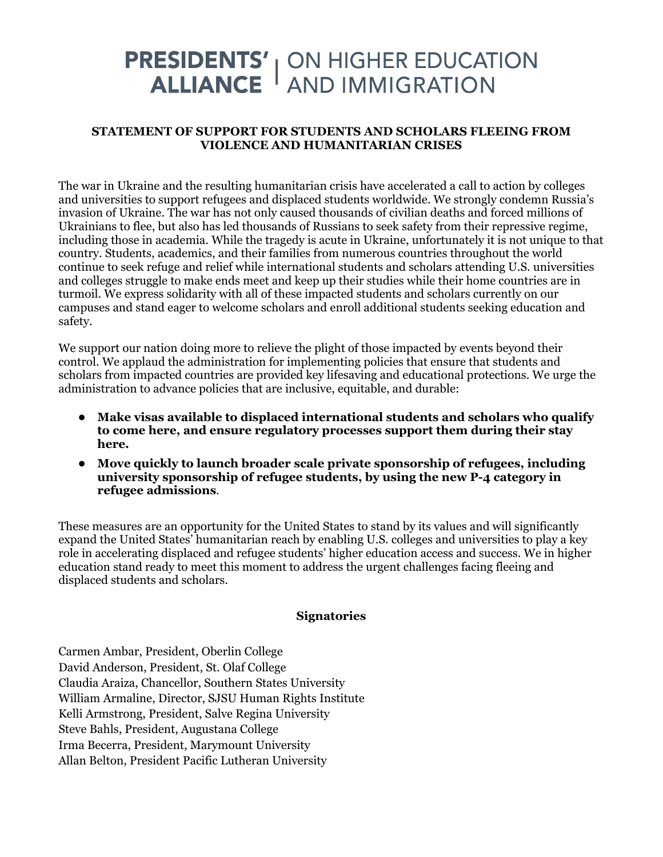## **PRESIDENTS'** | ON HIGHER EDUCATION<br>ALLIANCE | AND IMMIGRATION

## **STATEMENT OF SUPPORT FOR STUDENTS AND SCHOLARS FLEEING FROM VIOLENCE AND HUMANITARIAN CRISES**

The war in Ukraine and the resulting humanitarian crisis have accelerated a call to action by colleges and universities to support refugees and displaced students worldwide. We strongly condemn Russia's invasion of Ukraine. The war has not only caused thousands of civilian deaths and forced millions of Ukrainians to flee, but also has led thousands of Russians to seek safety from their repressive regime, including those in academia. While the tragedy is acute in Ukraine, unfortunately it is not unique to that country. Students, academics, and their families from numerous countries throughout the world continue to seek refuge and relief while international students and scholars attending U.S. universities and colleges struggle to make ends meet and keep up their studies while their home countries are in turmoil. We express solidarity with all of these impacted students and scholars currently on our campuses and stand eager to welcome scholars and enroll additional students seeking education and safety.

We support our nation doing more to relieve the plight of those impacted by events beyond their control. We applaud the administration for implementing policies that ensure that students and scholars from impacted countries are provided key lifesaving and educational protections. We urge the administration to advance policies that are inclusive, equitable, and durable:

- **Make visas available to displaced international students and scholars who qualify to come here, and ensure regulatory processes support them during their stay here.**
- **Move quickly to launch broader scale private sponsorship of refugees, including university sponsorship of refugee students, by using the new P-4 category in refugee admissions**.

These measures are an opportunity for the United States to stand by its values and will significantly expand the United States' humanitarian reach by enabling U.S. colleges and universities to play a key role in accelerating displaced and refugee students' higher education access and success. We in higher education stand ready to meet this moment to address the urgent challenges facing fleeing and displaced students and scholars.

## **Signatories**

Carmen Ambar, President, Oberlin College David Anderson, President, St. Olaf College Claudia Araiza, Chancellor, Southern States University William Armaline, Director, SJSU Human Rights Institute Kelli Armstrong, President, Salve Regina University Steve Bahls, President, Augustana College Irma Becerra, President, Marymount University Allan Belton, President Pacific Lutheran University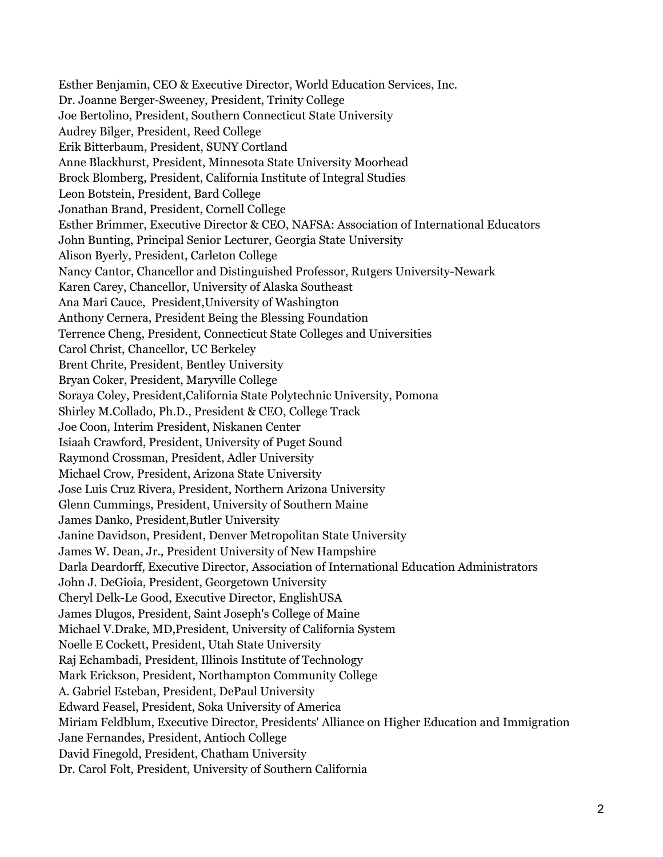Esther Benjamin, CEO & Executive Director, World Education Services, Inc. Dr. Joanne Berger-Sweeney, President, Trinity College Joe Bertolino, President, Southern Connecticut State University Audrey Bilger, President, Reed College Erik Bitterbaum, President, SUNY Cortland Anne Blackhurst, President, Minnesota State University Moorhead Brock Blomberg, President, California Institute of Integral Studies Leon Botstein, President, Bard College Jonathan Brand, President, Cornell College Esther Brimmer, Executive Director & CEO, NAFSA: Association of International Educators John Bunting, Principal Senior Lecturer, Georgia State University Alison Byerly, President, Carleton College Nancy Cantor, Chancellor and Distinguished Professor, Rutgers University-Newark Karen Carey, Chancellor, University of Alaska Southeast Ana Mari Cauce, President,University of Washington Anthony Cernera, President Being the Blessing Foundation Terrence Cheng, President, Connecticut State Colleges and Universities Carol Christ, Chancellor, UC Berkeley Brent Chrite, President, Bentley University Bryan Coker, President, Maryville College Soraya Coley, President,California State Polytechnic University, Pomona Shirley M.Collado, Ph.D., President & CEO, College Track Joe Coon, Interim President, Niskanen Center Isiaah Crawford, President, University of Puget Sound Raymond Crossman, President, Adler University Michael Crow, President, Arizona State University Jose Luis Cruz Rivera, President, Northern Arizona University Glenn Cummings, President, University of Southern Maine James Danko, President,Butler University Janine Davidson, President, Denver Metropolitan State University James W. Dean, Jr., President University of New Hampshire Darla Deardorff, Executive Director, Association of International Education Administrators John J. DeGioia, President, Georgetown University Cheryl Delk-Le Good, Executive Director, EnglishUSA James Dlugos, President, Saint Joseph's College of Maine Michael V.Drake, MD,President, University of California System Noelle E Cockett, President, Utah State University Raj Echambadi, President, Illinois Institute of Technology Mark Erickson, President, Northampton Community College A. Gabriel Esteban, President, DePaul University Edward Feasel, President, Soka University of America Miriam Feldblum, Executive Director, Presidents' Alliance on Higher Education and Immigration Jane Fernandes, President, Antioch College David Finegold, President, Chatham University Dr. Carol Folt, President, University of Southern California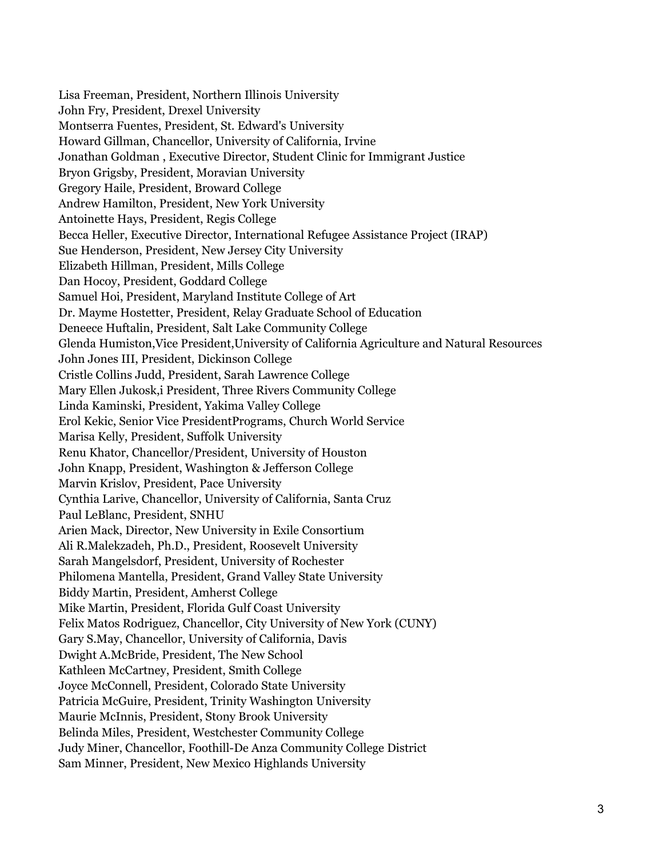Lisa Freeman, President, Northern Illinois University John Fry, President, Drexel University Montserra Fuentes, President, St. Edward's University Howard Gillman, Chancellor, University of California, Irvine Jonathan Goldman , Executive Director, Student Clinic for Immigrant Justice Bryon Grigsby, President, Moravian University Gregory Haile, President, Broward College Andrew Hamilton, President, New York University Antoinette Hays, President, Regis College Becca Heller, Executive Director, International Refugee Assistance Project (IRAP) Sue Henderson, President, New Jersey City University Elizabeth Hillman, President, Mills College Dan Hocoy, President, Goddard College Samuel Hoi, President, Maryland Institute College of Art Dr. Mayme Hostetter, President, Relay Graduate School of Education Deneece Huftalin, President, Salt Lake Community College Glenda Humiston,Vice President,University of California Agriculture and Natural Resources John Jones III, President, Dickinson College Cristle Collins Judd, President, Sarah Lawrence College Mary Ellen Jukosk,i President, Three Rivers Community College Linda Kaminski, President, Yakima Valley College Erol Kekic, Senior Vice PresidentPrograms, Church World Service Marisa Kelly, President, Suffolk University Renu Khator, Chancellor/President, University of Houston John Knapp, President, Washington & Jefferson College Marvin Krislov, President, Pace University Cynthia Larive, Chancellor, University of California, Santa Cruz Paul LeBlanc, President, SNHU Arien Mack, Director, New University in Exile Consortium Ali R.Malekzadeh, Ph.D., President, Roosevelt University Sarah Mangelsdorf, President, University of Rochester Philomena Mantella, President, Grand Valley State University Biddy Martin, President, Amherst College Mike Martin, President, Florida Gulf Coast University Felix Matos Rodriguez, Chancellor, City University of New York (CUNY) Gary S.May, Chancellor, University of California, Davis Dwight A.McBride, President, The New School Kathleen McCartney, President, Smith College Joyce McConnell, President, Colorado State University Patricia McGuire, President, Trinity Washington University Maurie McInnis, President, Stony Brook University Belinda Miles, President, Westchester Community College Judy Miner, Chancellor, Foothill-De Anza Community College District Sam Minner, President, New Mexico Highlands University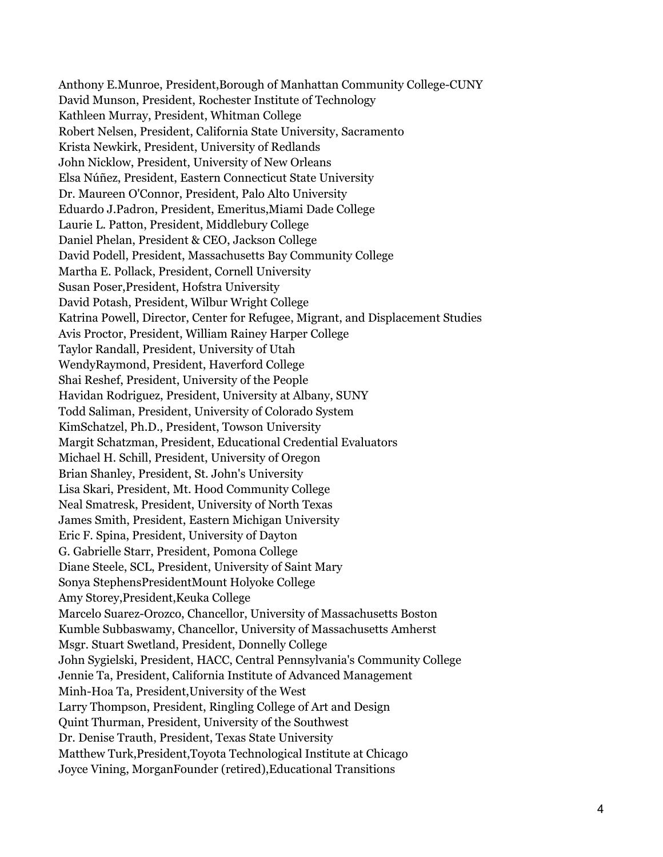Anthony E.Munroe, President,Borough of Manhattan Community College-CUNY David Munson, President, Rochester Institute of Technology Kathleen Murray, President, Whitman College Robert Nelsen, President, California State University, Sacramento Krista Newkirk, President, University of Redlands John Nicklow, President, University of New Orleans Elsa Núñez, President, Eastern Connecticut State University Dr. Maureen O'Connor, President, Palo Alto University Eduardo J.Padron, President, Emeritus,Miami Dade College Laurie L. Patton, President, Middlebury College Daniel Phelan, President & CEO, Jackson College David Podell, President, Massachusetts Bay Community College Martha E. Pollack, President, Cornell University Susan Poser,President, Hofstra University David Potash, President, Wilbur Wright College Katrina Powell, Director, Center for Refugee, Migrant, and Displacement Studies Avis Proctor, President, William Rainey Harper College Taylor Randall, President, University of Utah WendyRaymond, President, Haverford College Shai Reshef, President, University of the People Havidan Rodriguez, President, University at Albany, SUNY Todd Saliman, President, University of Colorado System KimSchatzel, Ph.D., President, Towson University Margit Schatzman, President, Educational Credential Evaluators Michael H. Schill, President, University of Oregon Brian Shanley, President, St. John's University Lisa Skari, President, Mt. Hood Community College Neal Smatresk, President, University of North Texas James Smith, President, Eastern Michigan University Eric F. Spina, President, University of Dayton G. Gabrielle Starr, President, Pomona College Diane Steele, SCL, President, University of Saint Mary Sonya StephensPresidentMount Holyoke College Amy Storey,President,Keuka College Marcelo Suarez-Orozco, Chancellor, University of Massachusetts Boston Kumble Subbaswamy, Chancellor, University of Massachusetts Amherst Msgr. Stuart Swetland, President, Donnelly College John Sygielski, President, HACC, Central Pennsylvania's Community College Jennie Ta, President, California Institute of Advanced Management Minh-Hoa Ta, President,University of the West Larry Thompson, President, Ringling College of Art and Design Quint Thurman, President, University of the Southwest Dr. Denise Trauth, President, Texas State University Matthew Turk,President,Toyota Technological Institute at Chicago Joyce Vining, MorganFounder (retired),Educational Transitions